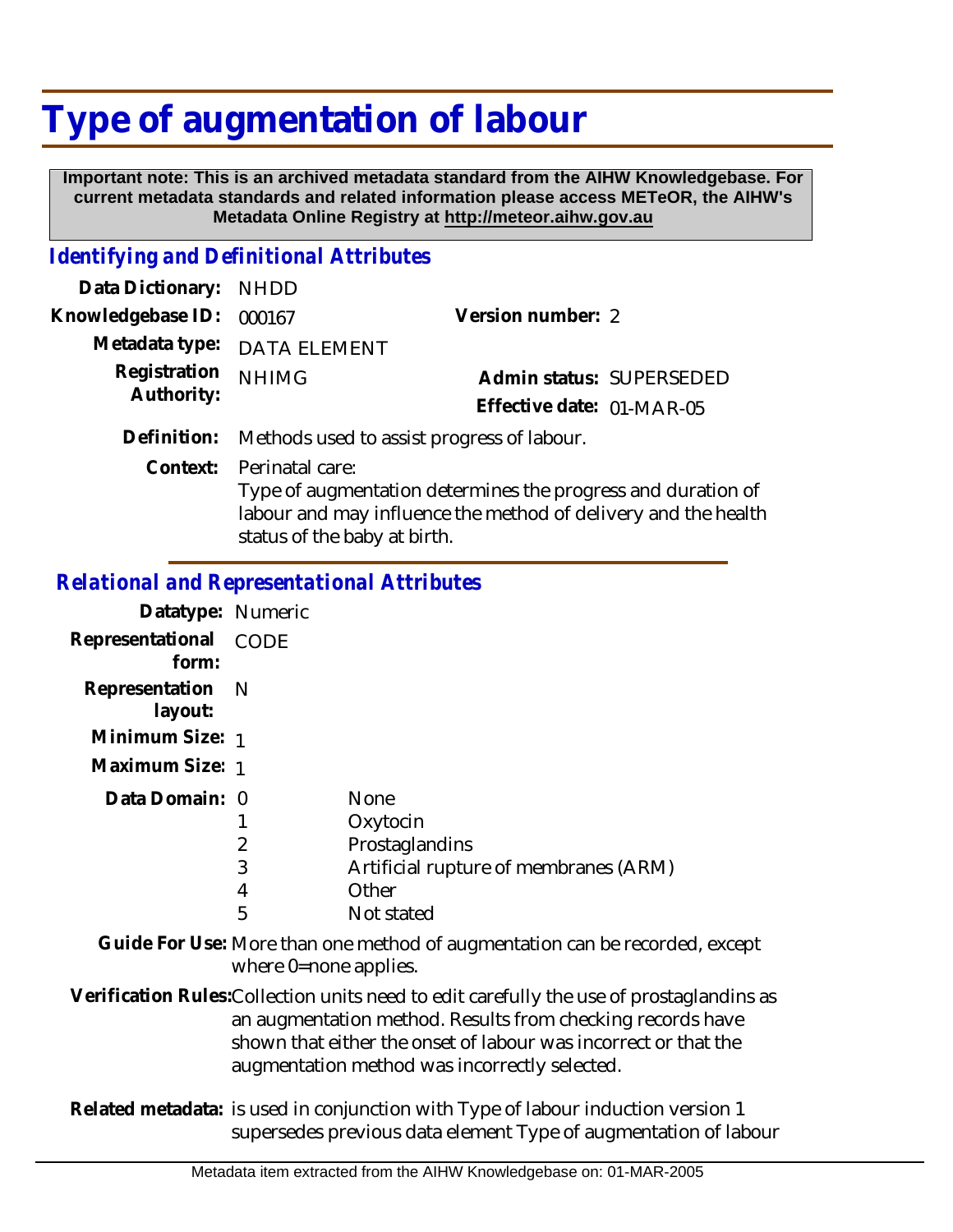## **Type of augmentation of labour**

 **Important note: This is an archived metadata standard from the AIHW Knowledgebase. For current metadata standards and related information please access METeOR, the AIHW's Metadata Online Registry at http://meteor.aihw.gov.au**

## *Identifying and Definitional Attributes*

| Data Dictionary: NHDD    |                                                       |                           |  |
|--------------------------|-------------------------------------------------------|---------------------------|--|
| Knowledgebase ID: 000167 |                                                       | Version number: 2         |  |
|                          | Metadata type: DATA ELEMENT                           |                           |  |
| Registration NHIMG       |                                                       | Admin status: SUPERSEDED  |  |
| Authority:               |                                                       | Effective date: 01-MAR-05 |  |
|                          | Definition. Mathods used to assist progress of labour |                           |  |

**Definition:** Methods used to assist progress of labour.

Context: Perinatal care:

Type of augmentation determines the progress and duration of labour and may influence the method of delivery and the health status of the baby at birth.

## *Relational and Representational Attributes*

| Datatype: Numeric           |                  |                                                                                                           |
|-----------------------------|------------------|-----------------------------------------------------------------------------------------------------------|
| Representational<br>form:   | CODE             |                                                                                                           |
| Representation N<br>layout: |                  |                                                                                                           |
| Minimum Size: 1             |                  |                                                                                                           |
| Maximum Size: 1             |                  |                                                                                                           |
| Data Domain: 0              | 2<br>3<br>4<br>5 | <b>None</b><br>Oxytocin<br>Prostaglandins<br>Artificial rupture of membranes (ARM)<br>Other<br>Not stated |

Guide For Use: More than one method of augmentation can be recorded, except where 0=none applies.

Verification Rules:Collection units need to edit carefully the use of prostaglandins as an augmentation method. Results from checking records have shown that either the onset of labour was incorrect or that the augmentation method was incorrectly selected.

Related metadata: is used in conjunction with Type of labour induction version 1 supersedes previous data element Type of augmentation of labour